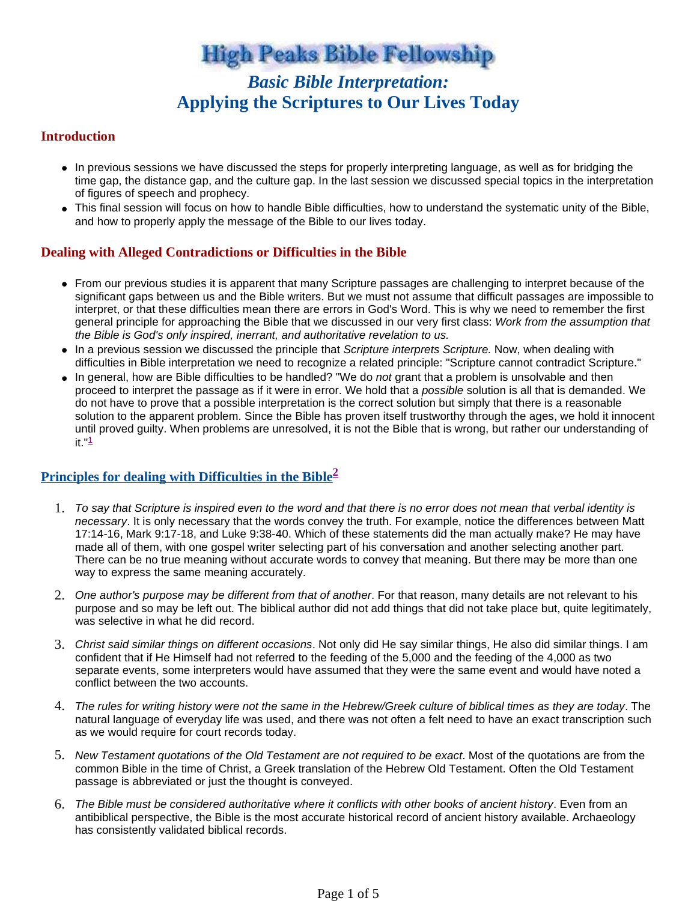**High Peaks Bible Fellowship** 

# *Basic Bible Interpretation:* **Applying the Scriptures to Our Lives Today**

#### **Introduction**

- In previous sessions we have discussed the steps for properly interpreting language, as well as for bridging the time gap, the distance gap, and the culture gap. In the last session we discussed special topics in the interpretation of figures of speech and prophecy.
- This final session will focus on how to handle Bible difficulties, how to understand the systematic unity of the Bible, and how to properly apply the message of the Bible to our lives today.

## **Dealing with Alleged Contradictions or Difficulties in the Bible**

- From our previous studies it is apparent that many Scripture passages are challenging to interpret because of the significant gaps between us and the Bible writers. But we must not assume that difficult passages are impossible to interpret, or that these difficulties mean there are errors in God's Word. This is why we need to remember the first general principle for approaching the Bible that we discussed in our very first class: Work from the assumption that the Bible is God's only inspired, inerrant, and authoritative revelation to us.
- In a previous session we discussed the principle that Scripture interprets Scripture. Now, when dealing with difficulties in Bible interpretation we need to recognize a related principle: "Scripture cannot contradict Scripture."
- In general, how are Bible difficulties to be handled? "We do not grant that a problem is unsolvable and then proceed to interpret the passage as if it were in error. We hold that a possible solution is all that is demanded. We do not have to prove that a possible interpretation is the correct solution but simply that there is a reasonable solution to the apparent problem. Since the Bible has proven itself trustworthy through the ages, we hold it innocent until proved guilty. When problems are unresolved, it is not the Bible that is wrong, but rather our understanding of it. $1$

# **Principles for dealing with Difficulties in the Bible<sup>2</sup>**

- 1. To say that Scripture is inspired even to the word and that there is no error does not mean that verbal identity is necessary. It is only necessary that the words convey the truth. For example, notice the differences between Matt 17:14-16, Mark 9:17-18, and Luke 9:38-40. Which of these statements did the man actually make? He may have made all of them, with one gospel writer selecting part of his conversation and another selecting another part. There can be no true meaning without accurate words to convey that meaning. But there may be more than one way to express the same meaning accurately.
- 2. One author's purpose may be different from that of another. For that reason, many details are not relevant to his purpose and so may be left out. The biblical author did not add things that did not take place but, quite legitimately, was selective in what he did record.
- 3. Christ said similar things on different occasions. Not only did He say similar things, He also did similar things. I am confident that if He Himself had not referred to the feeding of the 5,000 and the feeding of the 4,000 as two separate events, some interpreters would have assumed that they were the same event and would have noted a conflict between the two accounts.
- 4. The rules for writing history were not the same in the Hebrew/Greek culture of biblical times as they are today. The natural language of everyday life was used, and there was not often a felt need to have an exact transcription such as we would require for court records today.
- 5. New Testament quotations of the Old Testament are not required to be exact. Most of the quotations are from the common Bible in the time of Christ, a Greek translation of the Hebrew Old Testament. Often the Old Testament passage is abbreviated or just the thought is conveyed.
- 6. The Bible must be considered authoritative where it conflicts with other books of ancient history. Even from an antibiblical perspective, the Bible is the most accurate historical record of ancient history available. Archaeology has consistently validated biblical records.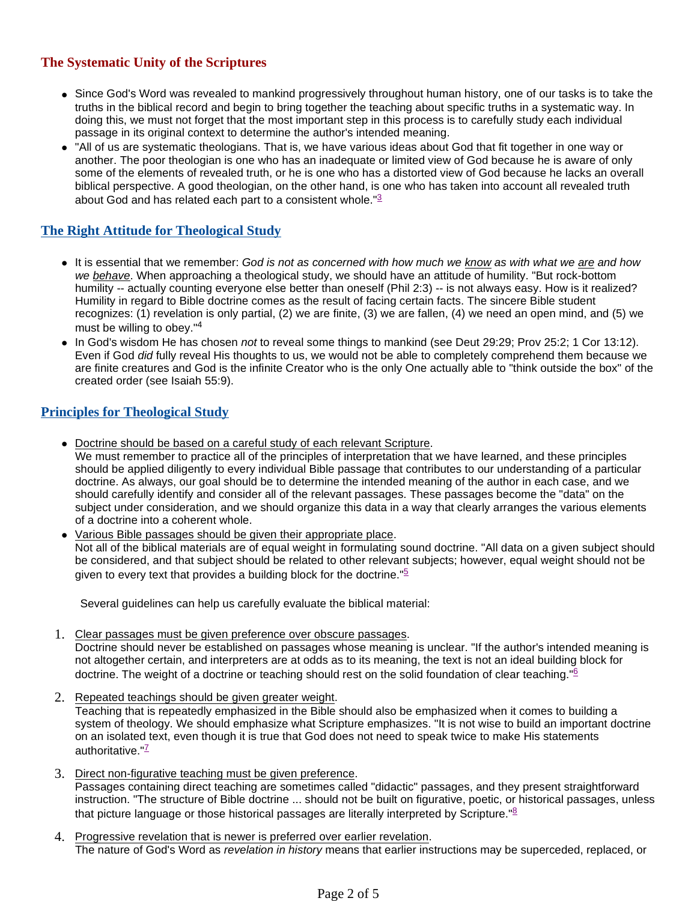# **The Systematic Unity of the Scriptures**

- Since God's Word was revealed to mankind progressively throughout human history, one of our tasks is to take the truths in the biblical record and begin to bring together the teaching about specific truths in a systematic way. In doing this, we must not forget that the most important step in this process is to carefully study each individual passage in its original context to determine the author's intended meaning.
- "All of us are systematic theologians. That is, we have various ideas about God that fit together in one way or another. The poor theologian is one who has an inadequate or limited view of God because he is aware of only some of the elements of revealed truth, or he is one who has a distorted view of God because he lacks an overall biblical perspective. A good theologian, on the other hand, is one who has taken into account all revealed truth about God and has related each part to a consistent whole."<sup>3</sup>

# **The Right Attitude for Theological Study**

- It is essential that we remember: God is not as concerned with how much we know as with what we are and how we behave. When approaching a theological study, we should have an attitude of humility. "But rock-bottom humility -- actually counting everyone else better than oneself (Phil 2:3) -- is not always easy. How is it realized? Humility in regard to Bible doctrine comes as the result of facing certain facts. The sincere Bible student recognizes: (1) revelation is only partial, (2) we are finite, (3) we are fallen, (4) we need an open mind, and (5) we must be willing to obey."<sup>4</sup>
- In God's wisdom He has chosen not to reveal some things to mankind (see Deut 29:29; Prov 25:2; 1 Cor 13:12). Even if God did fully reveal His thoughts to us, we would not be able to completely comprehend them because we are finite creatures and God is the infinite Creator who is the only One actually able to "think outside the box" of the created order (see Isaiah 55:9).

## **Principles for Theological Study**

Doctrine should be based on a careful study of each relevant Scripture.

We must remember to practice all of the principles of interpretation that we have learned, and these principles should be applied diligently to every individual Bible passage that contributes to our understanding of a particular doctrine. As always, our goal should be to determine the intended meaning of the author in each case, and we should carefully identify and consider all of the relevant passages. These passages become the "data" on the subject under consideration, and we should organize this data in a way that clearly arranges the various elements of a doctrine into a coherent whole.

 Various Bible passages should be given their appropriate place. Not all of the biblical materials are of equal weight in formulating sound doctrine. "All data on a given subject should be considered, and that subject should be related to other relevant subjects; however, equal weight should not be given to every text that provides a building block for the doctrine." $5$ 

Several guidelines can help us carefully evaluate the biblical material:

- 1. Clear passages must be given preference over obscure passages. Doctrine should never be established on passages whose meaning is unclear. "If the author's intended meaning is not altogether certain, and interpreters are at odds as to its meaning, the text is not an ideal building block for doctrine. The weight of a doctrine or teaching should rest on the solid foundation of clear teaching."<sup>6</sup>
- 2. Repeated teachings should be given greater weight.

Teaching that is repeatedly emphasized in the Bible should also be emphasized when it comes to building a system of theology. We should emphasize what Scripture emphasizes. "It is not wise to build an important doctrine on an isolated text, even though it is true that God does not need to speak twice to make His statements authoritative." $\frac{7}{2}$ 

- 3. Direct non-figurative teaching must be given preference. Passages containing direct teaching are sometimes called "didactic" passages, and they present straightforward instruction. "The structure of Bible doctrine ... should not be built on figurative, poetic, or historical passages, unless that picture language or those historical passages are literally interpreted by Scripture.<sup>"8</sup>
- 4. Progressive revelation that is newer is preferred over earlier revelation. The nature of God's Word as revelation in history means that earlier instructions may be superceded, replaced, or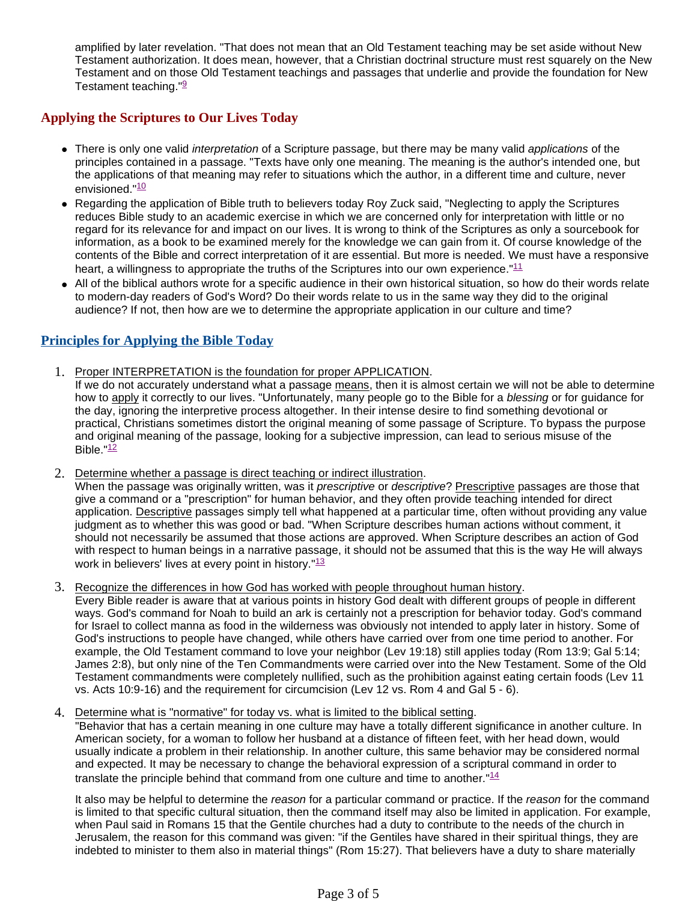amplified by later revelation. "That does not mean that an Old Testament teaching may be set aside without New Testament authorization. It does mean, however, that a Christian doctrinal structure must rest squarely on the New Testament and on those Old Testament teachings and passages that underlie and provide the foundation for New Testament teaching."<sup>9</sup>

## **Applying the Scriptures to Our Lives Today**

- There is only one valid interpretation of a Scripture passage, but there may be many valid applications of the principles contained in a passage. "Texts have only one meaning. The meaning is the author's intended one, but the applications of that meaning may refer to situations which the author, in a different time and culture, never envisioned."<sup>10</sup>
- Regarding the application of Bible truth to believers today Roy Zuck said, "Neglecting to apply the Scriptures reduces Bible study to an academic exercise in which we are concerned only for interpretation with little or no regard for its relevance for and impact on our lives. It is wrong to think of the Scriptures as only a sourcebook for information, as a book to be examined merely for the knowledge we can gain from it. Of course knowledge of the contents of the Bible and correct interpretation of it are essential. But more is needed. We must have a responsive heart, a willingness to appropriate the truths of the Scriptures into our own experience." $11$
- All of the biblical authors wrote for a specific audience in their own historical situation, so how do their words relate to modern-day readers of God's Word? Do their words relate to us in the same way they did to the original audience? If not, then how are we to determine the appropriate application in our culture and time?

## **Principles for Applying the Bible Today**

- 1. Proper INTERPRETATION is the foundation for proper APPLICATION.
	- If we do not accurately understand what a passage means, then it is almost certain we will not be able to determine how to apply it correctly to our lives. "Unfortunately, many people go to the Bible for a blessing or for guidance for the day, ignoring the interpretive process altogether. In their intense desire to find something devotional or practical, Christians sometimes distort the original meaning of some passage of Scripture. To bypass the purpose and original meaning of the passage, looking for a subjective impression, can lead to serious misuse of the Bible. $12$
- 2. Determine whether a passage is direct teaching or indirect illustration.

When the passage was originally written, was it prescriptive or descriptive? Prescriptive passages are those that give a command or a "prescription" for human behavior, and they often provide teaching intended for direct application. Descriptive passages simply tell what happened at a particular time, often without providing any value judgment as to whether this was good or bad. "When Scripture describes human actions without comment, it should not necessarily be assumed that those actions are approved. When Scripture describes an action of God with respect to human beings in a narrative passage, it should not be assumed that this is the way He will always work in believers' lives at every point in history."<sup>13</sup>

3. Recognize the differences in how God has worked with people throughout human history.

Every Bible reader is aware that at various points in history God dealt with different groups of people in different ways. God's command for Noah to build an ark is certainly not a prescription for behavior today. God's command for Israel to collect manna as food in the wilderness was obviously not intended to apply later in history. Some of God's instructions to people have changed, while others have carried over from one time period to another. For example, the Old Testament command to love your neighbor (Lev 19:18) still applies today (Rom 13:9; Gal 5:14; James 2:8), but only nine of the Ten Commandments were carried over into the New Testament. Some of the Old Testament commandments were completely nullified, such as the prohibition against eating certain foods (Lev 11 vs. Acts 10:9-16) and the requirement for circumcision (Lev 12 vs. Rom 4 and Gal 5 - 6).

4. Determine what is "normative" for today vs. what is limited to the biblical setting.

"Behavior that has a certain meaning in one culture may have a totally different significance in another culture. In American society, for a woman to follow her husband at a distance of fifteen feet, with her head down, would usually indicate a problem in their relationship. In another culture, this same behavior may be considered normal and expected. It may be necessary to change the behavioral expression of a scriptural command in order to translate the principle behind that command from one culture and time to another." $14$ 

It also may be helpful to determine the reason for a particular command or practice. If the reason for the command is limited to that specific cultural situation, then the command itself may also be limited in application. For example, when Paul said in Romans 15 that the Gentile churches had a duty to contribute to the needs of the church in Jerusalem, the reason for this command was given: "if the Gentiles have shared in their spiritual things, they are indebted to minister to them also in material things" (Rom 15:27). That believers have a duty to share materially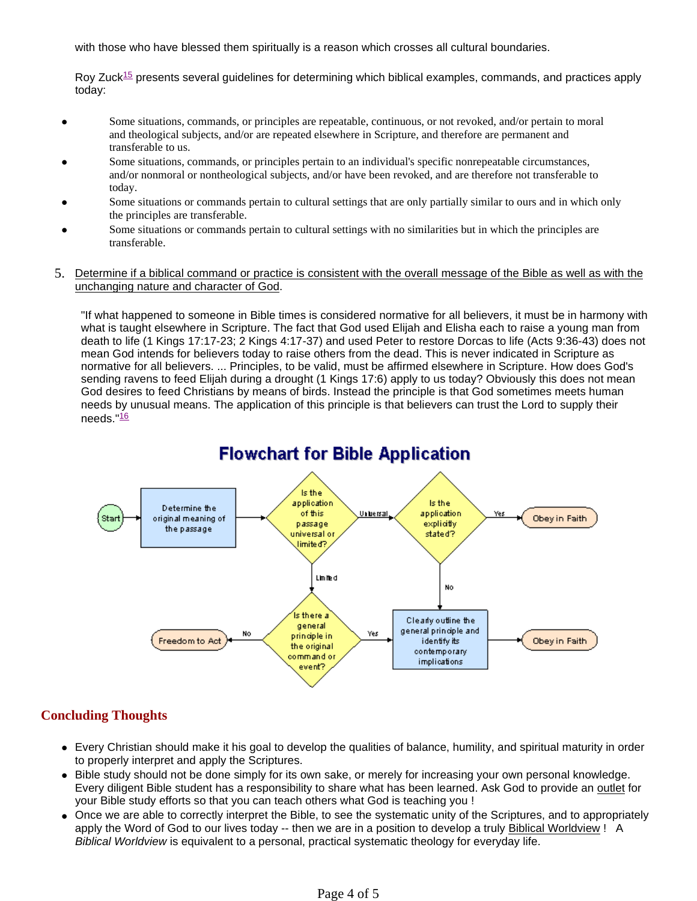with those who have blessed them spiritually is a reason which crosses all cultural boundaries.

Roy Zuck<sup>15</sup> presents several guidelines for determining which biblical examples, commands, and practices apply today:

- Some situations, commands, or principles are repeatable, continuous, or not revoked, and/or pertain to moral and theological subjects, and/or are repeated elsewhere in Scripture, and therefore are permanent and transferable to us.
- Some situations, commands, or principles pertain to an individual's specific nonrepeatable circumstances, and/or nonmoral or nontheological subjects, and/or have been revoked, and are therefore not transferable to today.
- Some situations or commands pertain to cultural settings that are only partially similar to ours and in which only the principles are transferable.
- Some situations or commands pertain to cultural settings with no similarities but in which the principles are transferable.
- 5. Determine if a biblical command or practice is consistent with the overall message of the Bible as well as with the unchanging nature and character of God.

"If what happened to someone in Bible times is considered normative for all believers, it must be in harmony with what is taught elsewhere in Scripture. The fact that God used Elijah and Elisha each to raise a young man from death to life (1 Kings 17:17-23; 2 Kings 4:17-37) and used Peter to restore Dorcas to life (Acts 9:36-43) does not mean God intends for believers today to raise others from the dead. This is never indicated in Scripture as normative for all believers. ... Principles, to be valid, must be affirmed elsewhere in Scripture. How does God's sending ravens to feed Elijah during a drought (1 Kings 17:6) apply to us today? Obviously this does not mean God desires to feed Christians by means of birds. Instead the principle is that God sometimes meets human needs by unusual means. The application of this principle is that believers can trust the Lord to supply their needs. $16$ 



## **Concluding Thoughts**

- Every Christian should make it his goal to develop the qualities of balance, humility, and spiritual maturity in order to properly interpret and apply the Scriptures.
- Bible study should not be done simply for its own sake, or merely for increasing your own personal knowledge. Every diligent Bible student has a responsibility to share what has been learned. Ask God to provide an outlet for your Bible study efforts so that you can teach others what God is teaching you !
- Once we are able to correctly interpret the Bible, to see the systematic unity of the Scriptures, and to appropriately apply the Word of God to our lives today -- then we are in a position to develop a truly Biblical Worldview ! A Biblical Worldview is equivalent to a personal, practical systematic theology for everyday life.